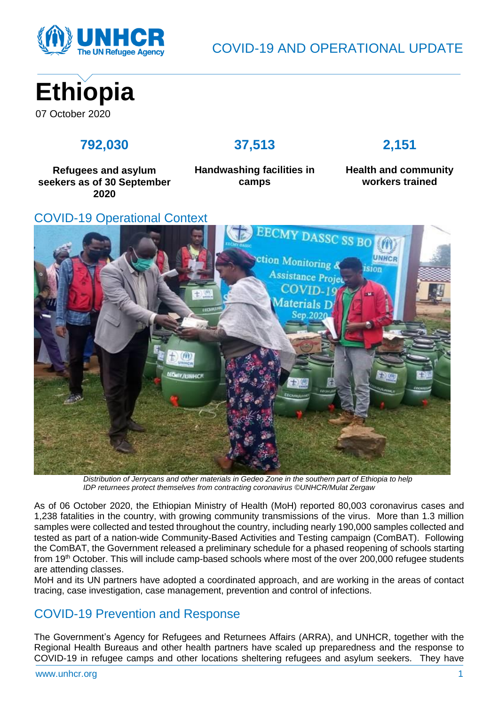

COVID-19 AND OPERATIONAL UPDATE



# **792,030**

### **37,513**

# **2,151**

**Refugees and asylum seekers as of 30 September 2020**

**Handwashing facilities in camps**

### **Health and community workers trained**

### COVID-19 Operational Context



*Distribution of Jerrycans and other materials in Gedeo Zone in the southern part of Ethiopia to help IDP returnees protect themselves from contracting coronavirus ©UNHCR/Mulat Zergaw*

As of 06 October 2020, the Ethiopian Ministry of Health (MoH) reported 80,003 coronavirus cases and 1,238 fatalities in the country, with growing community transmissions of the virus. More than 1.3 million samples were collected and tested throughout the country, including nearly 190,000 samples collected and tested as part of a nation-wide Community-Based Activities and Testing campaign (ComBAT). Following the ComBAT, the Government released a preliminary schedule for a phased reopening of schools starting from 19th October. This will include camp-based schools where most of the over 200,000 refugee students are attending classes.

MoH and its UN partners have adopted a coordinated approach, and are working in the areas of contact tracing, case investigation, case management, prevention and control of infections.

# COVID-19 Prevention and Response

The Government's Agency for Refugees and Returnees Affairs (ARRA), and UNHCR, together with the Regional Health Bureaus and other health partners have scaled up preparedness and the response to COVID-19 in refugee camps and other locations sheltering refugees and asylum seekers. They have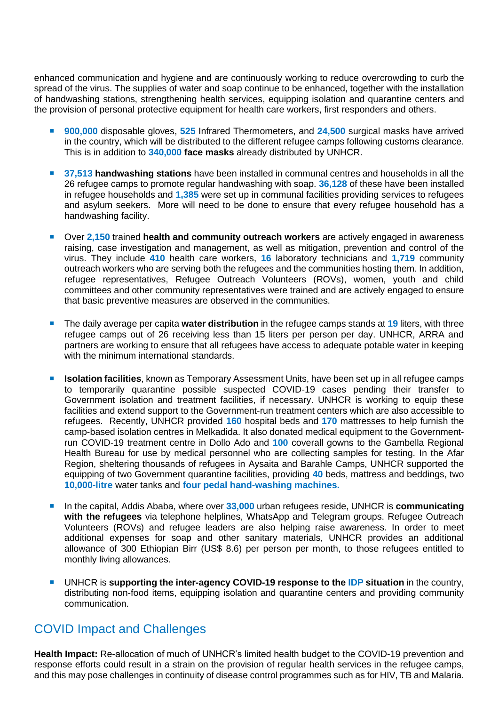enhanced communication and hygiene and are continuously working to reduce overcrowding to curb the spread of the virus. The supplies of water and soap continue to be enhanced, together with the installation of handwashing stations, strengthening health services, equipping isolation and quarantine centers and the provision of personal protective equipment for health care workers, first responders and others.

- **900,000** disposable gloves, **525** Infrared Thermometers, and **24,500** surgical masks have arrived in the country, which will be distributed to the different refugee camps following customs clearance. This is in addition to **340,000 face masks** already distributed by UNHCR.
- **37,513 handwashing stations** have been installed in communal centres and households in all the 26 refugee camps to promote regular handwashing with soap. **36,128** of these have been installed in refugee households and **1,385** were set up in communal facilities providing services to refugees and asylum seekers. More will need to be done to ensure that every refugee household has a handwashing facility.
- Over **2,150** trained **health and community outreach workers** are actively engaged in awareness raising, case investigation and management, as well as mitigation, prevention and control of the virus. They include **410** health care workers, **16** laboratory technicians and **1,719** community outreach workers who are serving both the refugees and the communities hosting them. In addition, refugee representatives, Refugee Outreach Volunteers (ROVs), women, youth and child committees and other community representatives were trained and are actively engaged to ensure that basic preventive measures are observed in the communities.
- The daily average per capita **water distribution** in the refugee camps stands at 19 liters, with three refugee camps out of 26 receiving less than 15 liters per person per day. UNHCR, ARRA and partners are working to ensure that all refugees have access to adequate potable water in keeping with the minimum international standards.
- **ISolation facilities**, known as Temporary Assessment Units, have been set up in all refugee camps to temporarily quarantine possible suspected COVID-19 cases pending their transfer to Government isolation and treatment facilities, if necessary. UNHCR is working to equip these facilities and extend support to the Government-run treatment centers which are also accessible to refugees. Recently, UNHCR provided **160** hospital beds and **170** mattresses to help furnish the camp-based isolation centres in Melkadida. It also donated medical equipment to the Governmentrun COVID-19 treatment centre in Dollo Ado and **100** coverall gowns to the Gambella Regional Health Bureau for use by medical personnel who are collecting samples for testing. In the Afar Region, sheltering thousands of refugees in Aysaita and Barahle Camps, UNHCR supported the equipping of two Government quarantine facilities, providing **40** beds, mattress and beddings, two **10,000-litre** water tanks and **four pedal hand-washing machines.**
- In the capital, Addis Ababa, where over **33,000** urban refugees reside, UNHCR is **communicating with the refugees** via telephone helplines, WhatsApp and Telegram groups. Refugee Outreach Volunteers (ROVs) and refugee leaders are also helping raise awareness. In order to meet additional expenses for soap and other sanitary materials, UNHCR provides an additional allowance of 300 Ethiopian Birr (US\$ 8.6) per person per month, to those refugees entitled to monthly living allowances.
- UNHCR is **supporting the inter-agency COVID-19 response to the IDP situation** in the country, distributing non-food items, equipping isolation and quarantine centers and providing community communication.

## COVID Impact and Challenges

**Health Impact:** Re-allocation of much of UNHCR's limited health budget to the COVID-19 prevention and response efforts could result in a strain on the provision of regular health services in the refugee camps, and this may pose challenges in continuity of disease control programmes such as for HIV, TB and Malaria.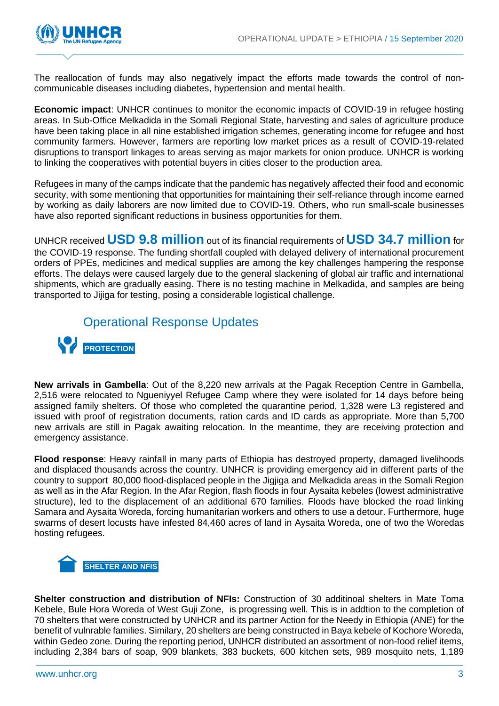

The reallocation of funds may also negatively impact the efforts made towards the control of noncommunicable diseases including diabetes, hypertension and mental health.

**Economic impact**: UNHCR continues to monitor the economic impacts of COVID-19 in refugee hosting areas. In Sub-Office Melkadida in the Somali Regional State, harvesting and sales of agriculture produce have been taking place in all nine established irrigation schemes, generating income for refugee and host community farmers. However, farmers are reporting low market prices as a result of COVID-19-related disruptions to transport linkages to areas serving as major markets for onion produce. UNHCR is working to linking the cooperatives with potential buyers in cities closer to the production area.

Refugees in many of the camps indicate that the pandemic has negatively affected their food and economic security, with some mentioning that opportunities for maintaining their self-reliance through income earned by working as daily laborers are now limited due to COVID-19. Others, who run small-scale businesses have also reported significant reductions in business opportunities for them.

UNHCR received **USD 9.8 million** out of its financial requirements of **USD 34.7 million** for the COVID-19 response. The funding shortfall coupled with delayed delivery of international procurement orders of PPEs, medicines and medical supplies are among the key challenges hampering the response efforts. The delays were caused largely due to the general slackening of global air traffic and international shipments, which are gradually easing. There is no testing machine in Melkadida, and samples are being transported to Jijiga for testing, posing a considerable logistical challenge.



**New arrivals in Gambella**: Out of the 8,220 new arrivals at the Pagak Reception Centre in Gambella, 2,516 were relocated to Ngueniyyel Refugee Camp where they were isolated for 14 days before being assigned family shelters. Of those who completed the quarantine period, 1,328 were L3 registered and issued with proof of registration documents, ration cards and ID cards as appropriate. More than 5,700 new arrivals are still in Pagak awaiting relocation. In the meantime, they are receiving protection and emergency assistance.

**Flood response**: Heavy rainfall in many parts of Ethiopia has destroyed property, damaged livelihoods and displaced thousands across the country. UNHCR is providing emergency aid in different parts of the country to support 80,000 flood-displaced people in the Jigjiga and Melkadida areas in the Somali Region as well as in the Afar Region. In the Afar Region, flash floods in four Aysaita kebeles (lowest administrative structure), led to the displacement of an additional 670 families. Floods have blocked the road linking Samara and Aysaita Woreda, forcing humanitarian workers and others to use a detour. Furthermore, huge swarms of desert locusts have infested 84,460 acres of land in Aysaita Woreda, one of two the Woredas hosting refugees.



**Shelter construction and distribution of NFIs:** Construction of 30 additinoal shelters in Mate Toma Kebele, Bule Hora Woreda of West Guji Zone, is progressing well. This is in addtion to the completion of 70 shelters that were constructed by UNHCR and its partner Action for the Needy in Ethiopia (ANE) for the benefit of vulnrable families. Similary, 20 shelters are being constructed in Baya kebele of Kochore Woreda, within Gedeo zone. During the reporting period, UNHCR distributed an assortment of non-food relief items, including 2,384 bars of soap, 909 blankets, 383 buckets, 600 kitchen sets, 989 mosquito nets, 1,189